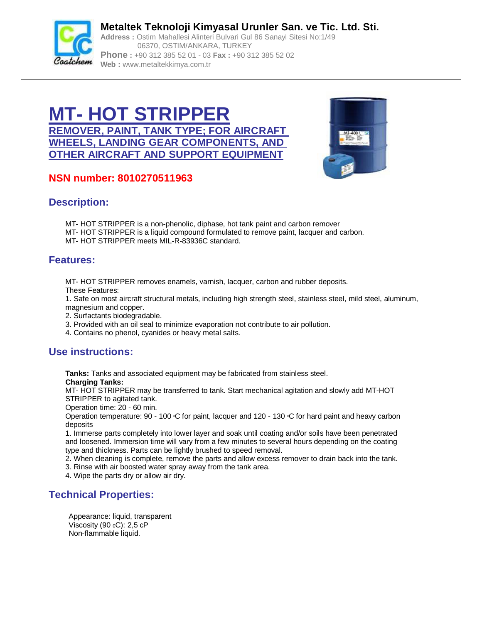

**Metaltek Teknoloji Kimyasal Urunler San. ve Tic. Ltd. Sti. Address :** Ostim Mahallesi Alinteri Bulvari Gul 86 Sanayi Sitesi No:1/49 06370, OSTIM/ANKARA, TURKEY **Phone :** +90 312 385 52 01 - 03 **Fax :** +90 312 385 52 02 **Web :** [www.metaltekkimya.com.tr](http://www.metaltekkimya.com.tr)

# **MT- HOT STRIPPER REMOVER, PAINT, TANK TYPE; FOR AIRCRAFT WHEELS, LANDING GEAR COMPONENTS, AND OTHER AIRCRAFT AND SUPPORT EQUIPMENT**



# **NSN number: 8010270511963**

### **Description:**

- MT- HOT STRIPPER is a non-phenolic, diphase, hot tank paint and carbon remover MT- HOT STRIPPER is a liquid compound formulated to remove paint, lacquer and carbon.
- MT- HOT STRIPPER meets MIL-R-83936C standard.

### **Features:**

MT- HOT STRIPPER removes enamels, varnish, lacquer, carbon and rubber deposits.

These Features:

1. Safe on most aircraft structural metals, including high strength steel, stainless steel, mild steel, aluminum, magnesium and copper.

- 2. Surfactants biodegradable.
- 3. Provided with an oil seal to minimize evaporation not contribute to air pollution.
- 4. Contains no phenol, cyanides or heavy metal salts.

## **Use instructions:**

**Tanks:** Tanks and associated equipment may be fabricated from stainless steel. **Charging Tanks:**

MT- HOT STRIPPER may be transferred to tank. Start mechanical agitation and slowly add MT-HOT STRIPPER to agitated tank.

Operation time: 20 - 60 min.

Operation temperature: 90 - 100 °C for paint, lacquer and 120 - 130 °C for hard paint and heavy carbon deposits

1. Immerse parts completely into lower layer and soak until coating and/or soils have been penetrated and loosened. Immersion time will vary from a few minutes to several hours depending on the coating type and thickness. Parts can be lightly brushed to speed removal.

2. When cleaning is complete, remove the parts and allow excess remover to drain back into the tank. 3. Rinse with air boosted water spray away from the tank area.

4. Wipe the parts dry or allow air dry.

### **Technical Properties:**

Appearance: liquid, transparent Viscosity (90 $<sub>0</sub>C$ ): 2,5 cP</sub> Non-flammable liquid.